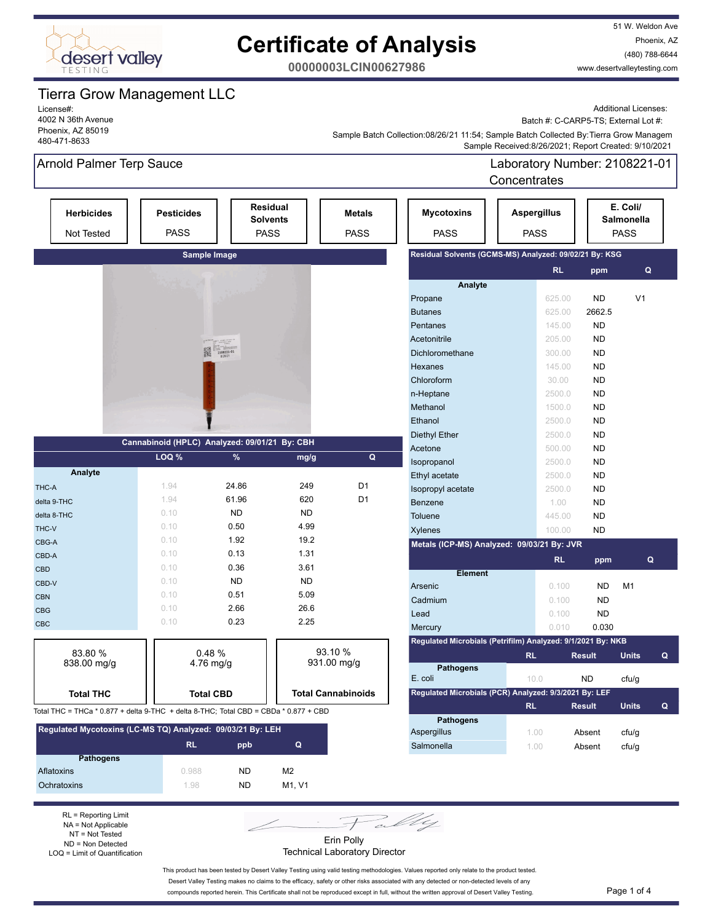

51 W. Weldon Ave Phoenix, AZ (480) 788-6644 www.desertvalleytesting.com

**00000003LCIN00627986**

## Tierra Grow Management LLC

License#: 4002 N 36th Avenue Phoenix, AZ 85019 480-471-8633

Additional Licenses:

Batch #: C-CARP5-TS; External Lot #:

 Sample Received:8/26/2021; Report Created: 9/10/2021 Sample Batch Collection:08/26/21 11:54; Sample Batch Collected By:Tierra Grow Managem

## Arnold Palmer Terp Sauce

Laboratory Number: 2108221-01 **Concentrates** 

| <b>Herbicides</b><br><b>Not Tested</b>                     | <b>Pesticides</b><br><b>PASS</b>                                                     |                  | <b>Residual</b><br><b>Solvents</b><br><b>PASS</b> | <b>Metals</b><br>PASS     | <b>Mycotoxins</b><br><b>PASS</b>                            | <b>Aspergillus</b><br><b>PASS</b> |                     | E. Coli/<br><b>Salmonella</b><br><b>PASS</b> |   |
|------------------------------------------------------------|--------------------------------------------------------------------------------------|------------------|---------------------------------------------------|---------------------------|-------------------------------------------------------------|-----------------------------------|---------------------|----------------------------------------------|---|
|                                                            |                                                                                      | Sample Image     |                                                   |                           | Residual Solvents (GCMS-MS) Analyzed: 09/02/21 By: KSG      |                                   |                     |                                              |   |
|                                                            |                                                                                      |                  |                                                   |                           |                                                             |                                   | <b>RL</b><br>ppm    |                                              | Q |
|                                                            |                                                                                      |                  |                                                   |                           | Analyte                                                     |                                   |                     |                                              |   |
|                                                            |                                                                                      |                  |                                                   |                           | Propane                                                     |                                   | 625.00<br><b>ND</b> | V <sub>1</sub>                               |   |
|                                                            |                                                                                      |                  |                                                   |                           | <b>Butanes</b>                                              |                                   | 625.00<br>2662.5    |                                              |   |
|                                                            |                                                                                      |                  |                                                   |                           | Pentanes                                                    |                                   | <b>ND</b><br>145.00 |                                              |   |
|                                                            |                                                                                      |                  |                                                   |                           | Acetonitrile                                                |                                   | 205.00<br><b>ND</b> |                                              |   |
|                                                            |                                                                                      | 鼹<br>2108221-01  |                                                   |                           | Dichloromethane                                             |                                   | <b>ND</b><br>300.00 |                                              |   |
|                                                            |                                                                                      |                  |                                                   |                           | Hexanes                                                     |                                   | 145.00<br><b>ND</b> |                                              |   |
|                                                            |                                                                                      |                  |                                                   |                           | Chloroform                                                  |                                   | <b>ND</b><br>30.00  |                                              |   |
|                                                            |                                                                                      |                  |                                                   |                           | n-Heptane                                                   |                                   | <b>ND</b><br>2500.0 |                                              |   |
|                                                            |                                                                                      |                  |                                                   |                           | Methanol                                                    |                                   | 1500.0<br><b>ND</b> |                                              |   |
|                                                            |                                                                                      |                  |                                                   |                           | Ethanol                                                     |                                   | 2500.0<br><b>ND</b> |                                              |   |
|                                                            |                                                                                      |                  |                                                   |                           | Diethyl Ether                                               |                                   | 2500.0<br><b>ND</b> |                                              |   |
|                                                            | Cannabinoid (HPLC) Analyzed: 09/01/21 By: CBH                                        |                  |                                                   |                           | Acetone                                                     |                                   | 500.00<br><b>ND</b> |                                              |   |
|                                                            | LOQ %                                                                                | %                | mg/g                                              | Q                         | Isopropanol                                                 |                                   | 2500.0<br><b>ND</b> |                                              |   |
| Analyte                                                    |                                                                                      |                  |                                                   |                           | Ethyl acetate                                               |                                   | 2500.0<br><b>ND</b> |                                              |   |
| THC-A                                                      | 1.94                                                                                 | 24.86            | 249                                               | D <sub>1</sub>            | Isopropyl acetate                                           |                                   | 2500.0<br><b>ND</b> |                                              |   |
| delta 9-THC                                                | 1.94                                                                                 | 61.96            | 620                                               | D <sub>1</sub>            | Benzene                                                     |                                   | 1.00<br><b>ND</b>   |                                              |   |
| delta 8-THC                                                | 0.10                                                                                 | <b>ND</b>        | ND.                                               |                           | Toluene                                                     |                                   | 445.00<br><b>ND</b> |                                              |   |
| THC-V                                                      | 0.10                                                                                 | 0.50             | 4.99                                              |                           | <b>Xylenes</b>                                              |                                   | <b>ND</b><br>100.00 |                                              |   |
| CBG-A                                                      | 0.10                                                                                 | 1.92             | 19.2                                              |                           | Metals (ICP-MS) Analyzed: 09/03/21 By: JVR                  |                                   |                     |                                              |   |
| CBD-A                                                      | 0.10                                                                                 | 0.13             | 1.31                                              |                           |                                                             |                                   | <b>RL</b><br>ppm    |                                              | Q |
| <b>CBD</b>                                                 | 0.10                                                                                 | 0.36             | 3.61                                              |                           | <b>Element</b>                                              |                                   |                     |                                              |   |
| CBD-V                                                      | 0.10                                                                                 | <b>ND</b>        | ND.                                               |                           | Arsenic                                                     |                                   | <b>ND</b><br>0.100  | M <sub>1</sub>                               |   |
| <b>CBN</b>                                                 | 0.10                                                                                 | 0.51             | 5.09                                              |                           | Cadmium                                                     |                                   | <b>ND</b><br>0.100  |                                              |   |
| <b>CBG</b>                                                 | 0.10                                                                                 | 2.66             | 26.6                                              |                           | Lead                                                        |                                   | <b>ND</b><br>0.100  |                                              |   |
| <b>CBC</b>                                                 | 0.10                                                                                 | 0.23             | 2.25                                              |                           | Mercury                                                     |                                   | 0.010<br>0.030      |                                              |   |
|                                                            |                                                                                      |                  |                                                   |                           | Regulated Microbials (Petrifilm) Analyzed: 9/1/2021 By: NKB |                                   |                     |                                              |   |
| 83.80 %                                                    |                                                                                      | 93.10 %<br>0.48% |                                                   |                           | <b>RL</b>                                                   | <b>Result</b>                     | <b>Units</b>        | Q                                            |   |
| 838.00 mg/g                                                |                                                                                      | 4.76 mg/g        |                                                   | $931.00$ mg/g             | <b>Pathogens</b>                                            |                                   |                     |                                              |   |
|                                                            |                                                                                      |                  |                                                   |                           | E. coli                                                     | 10.0                              | <b>ND</b>           | cfu/g                                        |   |
| <b>Total THC</b>                                           | <b>Total CBD</b>                                                                     |                  |                                                   | <b>Total Cannabinoids</b> | Regulated Microbials (PCR) Analyzed: 9/3/2021 By: LEF       |                                   |                     |                                              |   |
|                                                            | Total THC = THCa * 0.877 + delta 9-THC + delta 8-THC; Total CBD = CBDa * 0.877 + CBD |                  |                                                   |                           |                                                             | <b>RL</b>                         | <b>Result</b>       | <b>Units</b>                                 | Q |
|                                                            |                                                                                      |                  |                                                   |                           | <b>Pathogens</b>                                            |                                   |                     |                                              |   |
| Regulated Mycotoxins (LC-MS TQ) Analyzed: 09/03/21 By: LEH |                                                                                      |                  |                                                   |                           | Aspergillus                                                 | 1.00                              | Absent              | cfu/g                                        |   |
|                                                            | <b>RL</b>                                                                            | ppb              | Q                                                 |                           | Salmonella                                                  | 1.00                              | Absent              | cfu/g                                        |   |
| <b>Pathogens</b>                                           |                                                                                      |                  |                                                   |                           |                                                             |                                   |                     |                                              |   |
| Aflatoxins                                                 | 0.988                                                                                | N <sub>D</sub>   | M <sup>2</sup>                                    |                           |                                                             |                                   |                     |                                              |   |

RL = Reporting Limit NA = Not Applicable NT = Not Tested ND = Non Detected LOQ = Limit of Quantification

**Ochratoxins 1.98 ND M1, V1** 

Erin Polly Technical Laboratory Director

Fally

This product has been tested by Desert Valley Testing using valid testing methodologies. Values reported only relate to the product tested. Desert Valley Testing makes no claims to the efficacy, safety or other risks associated with any detected or non-detected levels of any compounds reported herein. This Certificate shall not be reproduced except in full, without the written approval of Desert Valley Testing. Page 1 of 4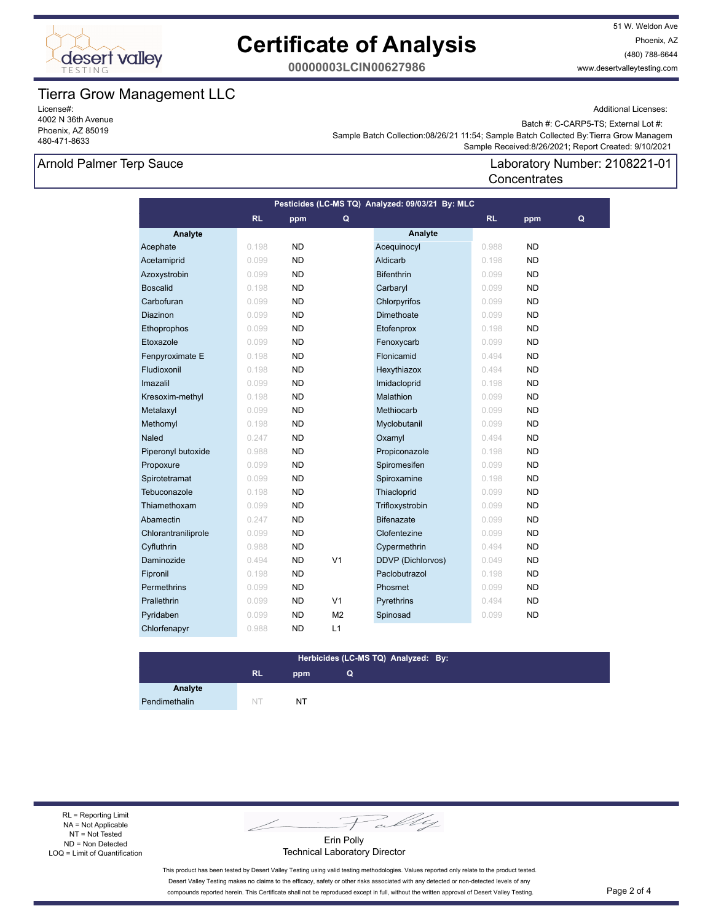

51 W. Weldon Ave Phoenix, AZ (480) 788-6644 www.desertvalleytesting.com

**00000003LCIN00627986**

### Tierra Grow Management LLC

License#: 4002 N 36th Avenue Phoenix, AZ 85019 480-471-8633

Additional Licenses:

Batch #: C-CARP5-TS; External Lot #:

Sample Batch Collection:08/26/21 11:54; Sample Batch Collected By:Tierra Grow Managem

### Arnold Palmer Terp Sauce

 Sample Received:8/26/2021; Report Created: 9/10/2021 Laboratory Number: 2108221-01

**Concentrates** 

| Pesticides (LC-MS TQ) Analyzed: 09/03/21 By: MLC |           |           |                |                          |           |           |   |  |
|--------------------------------------------------|-----------|-----------|----------------|--------------------------|-----------|-----------|---|--|
|                                                  | <b>RL</b> | ppm       | Q              |                          | <b>RL</b> | ppm       | Q |  |
| Analyte                                          |           |           |                | Analyte                  |           |           |   |  |
| Acephate                                         | 0.198     | <b>ND</b> |                | Acequinocyl              | 0.988     | ND        |   |  |
| Acetamiprid                                      | 0.099     | <b>ND</b> |                | Aldicarb                 | 0.198     | <b>ND</b> |   |  |
| Azoxystrobin                                     | 0.099     | ND        |                | <b>Bifenthrin</b>        | 0.099     | ND        |   |  |
| <b>Boscalid</b>                                  | 0.198     | <b>ND</b> |                | Carbaryl                 | 0.099     | <b>ND</b> |   |  |
| Carbofuran                                       | 0.099     | <b>ND</b> |                | Chlorpyrifos             | 0.099     | ND        |   |  |
| Diazinon                                         | 0.099     | <b>ND</b> |                | Dimethoate               | 0.099     | ND.       |   |  |
| Ethoprophos                                      | 0.099     | ND        |                | Etofenprox               | 0.198     | ND        |   |  |
| Etoxazole                                        | 0.099     | <b>ND</b> |                | Fenoxycarb               | 0.099     | ND        |   |  |
| Fenpyroximate E                                  | 0.198     | <b>ND</b> |                | Flonicamid               | 0.494     | ND        |   |  |
| Fludioxonil                                      | 0.198     | <b>ND</b> |                | Hexythiazox              | 0.494     | <b>ND</b> |   |  |
| Imazalil                                         | 0.099     | <b>ND</b> |                | Imidacloprid             | 0.198     | <b>ND</b> |   |  |
| Kresoxim-methyl                                  | 0.198     | <b>ND</b> |                | Malathion                | 0.099     | <b>ND</b> |   |  |
| Metalaxyl                                        | 0.099     | ND        |                | Methiocarb               | 0.099     | ND        |   |  |
| Methomyl                                         | 0.198     | <b>ND</b> |                | Myclobutanil             | 0.099     | ND        |   |  |
| Naled                                            | 0.247     | <b>ND</b> |                | Oxamyl                   | 0.494     | ND        |   |  |
| Piperonyl butoxide                               | 0.988     | <b>ND</b> |                | Propiconazole            | 0.198     | <b>ND</b> |   |  |
| Propoxure                                        | 0.099     | <b>ND</b> |                | Spiromesifen             | 0.099     | <b>ND</b> |   |  |
| Spirotetramat                                    | 0.099     | <b>ND</b> |                | Spiroxamine              | 0.198     | <b>ND</b> |   |  |
| Tebuconazole                                     | 0.198     | ND.       |                | Thiacloprid              | 0.099     | ND        |   |  |
| Thiamethoxam                                     | 0.099     | <b>ND</b> |                | Trifloxystrobin          | 0.099     | ND        |   |  |
| Abamectin                                        | 0.247     | <b>ND</b> |                | <b>Bifenazate</b>        | 0.099     | <b>ND</b> |   |  |
| Chlorantraniliprole                              | 0.099     | <b>ND</b> |                | Clofentezine             | 0.099     | <b>ND</b> |   |  |
| Cyfluthrin                                       | 0.988     | ND        |                | Cypermethrin             | 0.494     | <b>ND</b> |   |  |
| Daminozide                                       | 0.494     | <b>ND</b> | V <sub>1</sub> | <b>DDVP (Dichlorvos)</b> | 0.049     | <b>ND</b> |   |  |
| Fipronil                                         | 0.198     | <b>ND</b> |                | Paclobutrazol            | 0.198     | ND        |   |  |
| Permethrins                                      | 0.099     | <b>ND</b> |                | Phosmet                  | 0.099     | <b>ND</b> |   |  |
| Prallethrin                                      | 0.099     | ND        | V <sub>1</sub> | Pyrethrins               | 0.494     | <b>ND</b> |   |  |
| Pyridaben                                        | 0.099     | <b>ND</b> | M <sub>2</sub> | Spinosad                 | 0.099     | <b>ND</b> |   |  |
| Chlorfenapyr                                     | 0.988     | ND        | L1             |                          |           |           |   |  |

#### **RL ppm Herbicides (LC-MS TQ) Analyzed: By: Q**

Pendimethalin NT NT NT

**Analyte**

RL = Reporting Limit NA = Not Applicable NT = Not Tested ND = Non Detected LOQ = Limit of Quantification

Fally

Erin Polly Technical Laboratory Director

This product has been tested by Desert Valley Testing using valid testing methodologies. Values reported only relate to the product tested. Desert Valley Testing makes no claims to the efficacy, safety or other risks associated with any detected or non-detected levels of any compounds reported herein. This Certificate shall not be reproduced except in full, without the written approval of Desert Valley Testing. Page 2 of 4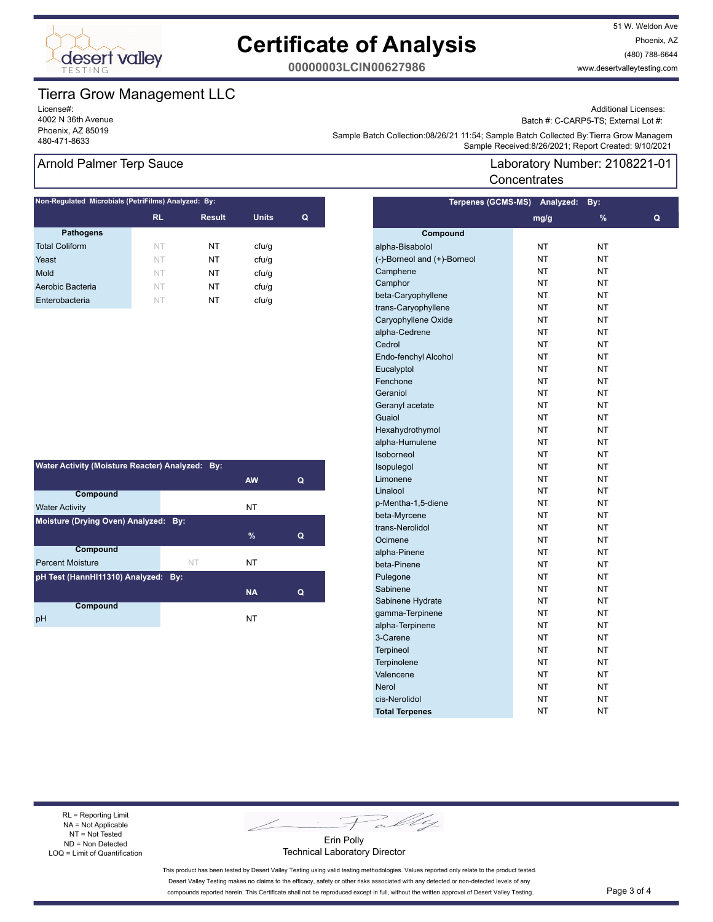

51 W. Weldon Ave Phoenix, AZ (480) 788-6644 www.desertvalleytesting.com

**00000003LCIN00627986**

## Tierra Grow Management LLC

License#: 4002 N 36th Avenue Phoenix, AZ 85019

Additional Licenses:

Batch #: C-CARP5-TS; External Lot #:

Laboratory Number: 2108221-01

المعرفة المعرفة المعرفة المعرفة المعرفة المعرفة المعرفة المعرفة المعرفة المعرفة المعرفة المعرفة المعرفة المعرفة<br>1480-471-8633 Sample Received:8/26/2021; Report Created: 9/10/2021 Sample Batch Collection:08/26/21 11:54; Sample Batch Collected By:Tierra Grow Managem

**Terpenes (GCMS-MS) Analyzed: By:** 

**Concentrates** 

#### Arnold Palmer Terp Sauce

|           |               | Non-Regulated Microbials (PetriFilms) Analyzed: By: |   |  |  |  |  |  |  |
|-----------|---------------|-----------------------------------------------------|---|--|--|--|--|--|--|
| <b>RL</b> | <b>Result</b> | <b>Units</b>                                        | Q |  |  |  |  |  |  |
|           |               |                                                     |   |  |  |  |  |  |  |
| NT        | NT            | cfu/g                                               |   |  |  |  |  |  |  |
| NT        | NT            | cfu/g                                               |   |  |  |  |  |  |  |
| NT        | NT            | cfu/q                                               |   |  |  |  |  |  |  |
| NT        | NT            | cfu/g                                               |   |  |  |  |  |  |  |
| NT        | NT            | cfu/q                                               |   |  |  |  |  |  |  |
|           |               |                                                     |   |  |  |  |  |  |  |

| Water Activity (Moisture Reacter) Analyzed: By: |    |           |   |  |  |  |
|-------------------------------------------------|----|-----------|---|--|--|--|
|                                                 |    | <b>AW</b> | Q |  |  |  |
| Compound                                        |    |           |   |  |  |  |
| <b>Water Activity</b>                           |    | NT        |   |  |  |  |
| Moisture (Drying Oven) Analyzed: By:            |    |           |   |  |  |  |
|                                                 |    | $\%$      | Q |  |  |  |
| <b>Compound</b>                                 |    |           |   |  |  |  |
| <b>Percent Moisture</b>                         | NT | NT        |   |  |  |  |
| pH Test (HannHI11310) Analyzed: By:             |    |           |   |  |  |  |
|                                                 |    | <b>NA</b> | Q |  |  |  |
| Compound                                        |    |           |   |  |  |  |
| рH                                              |    | NT        |   |  |  |  |

|                             | mg/g      | %  | Q |
|-----------------------------|-----------|----|---|
| Compound                    |           |    |   |
| alpha-Bisabolol             | NΤ        | NT |   |
| (-)-Borneol and (+)-Borneol | NT        | NT |   |
| Camphene                    | NΤ        | NT |   |
| Camphor                     | NΤ        | NT |   |
| beta-Caryophyllene          | NT        | NΤ |   |
| trans-Caryophyllene         | <b>NT</b> | NT |   |
| Caryophyllene Oxide         | NT        | NT |   |
| alpha-Cedrene               | NΤ        | NT |   |
| Cedrol                      | NΤ        | NΤ |   |
| Endo-fenchyl Alcohol        | NT        | NT |   |
| Eucalyptol                  | NT        | NΤ |   |
| Fenchone                    | NT        | NT |   |
| Geraniol                    | NΤ        | NT |   |
| Geranyl acetate             | NT        | NT |   |
| Guaiol                      | <b>NT</b> | NT |   |
| Hexahydrothymol             | NT        | NΤ |   |
| alpha-Humulene              | NΤ        | NΤ |   |
| Isoborneol                  | NT        | NT |   |
| Isopulegol                  | NT        | NT |   |
| Limonene                    | NT        | NΤ |   |
| Linalool                    | NΤ        | NΤ |   |
| p-Mentha-1,5-diene          | NΤ        | NT |   |
| beta-Myrcene                | NΤ        | NΤ |   |
| trans-Nerolidol             | <b>NT</b> | NT |   |
| Ocimene                     | NT        | NT |   |
| alpha-Pinene                | NT        | NΤ |   |
| beta-Pinene                 | NΤ        | NΤ |   |
| Pulegone                    | NΤ        | NΤ |   |
| Sabinene                    | NT        | NΤ |   |
| Sabinene Hydrate            | <b>NT</b> | NT |   |
| gamma-Terpinene             | NT        | NT |   |
| alpha-Terpinene             | NΤ        | NT |   |
| 3-Carene                    | NΤ        | NΤ |   |
| <b>Terpineol</b>            | NT        | NΤ |   |
| Terpinolene                 | NT        | NΤ |   |
| Valencene                   | <b>NT</b> | NT |   |
| <b>Nerol</b>                | NΤ        | NΤ |   |
| cis-Nerolidol               | NΤ        | NΤ |   |
| <b>Total Terpenes</b>       | NT        | NT |   |

#### RL = Reporting Limit NA = Not Applicable NT = Not Tested ND = Non Detected LOQ = Limit of Quantification

Fally

Erin Polly Technical Laboratory Director

This product has been tested by Desert Valley Testing using valid testing methodologies. Values reported only relate to the product tested. Desert Valley Testing makes no claims to the efficacy, safety or other risks associated with any detected or non-detected levels of any compounds reported herein. This Certificate shall not be reproduced except in full, without the written approval of Desert Valley Testing. Page 3 of 4